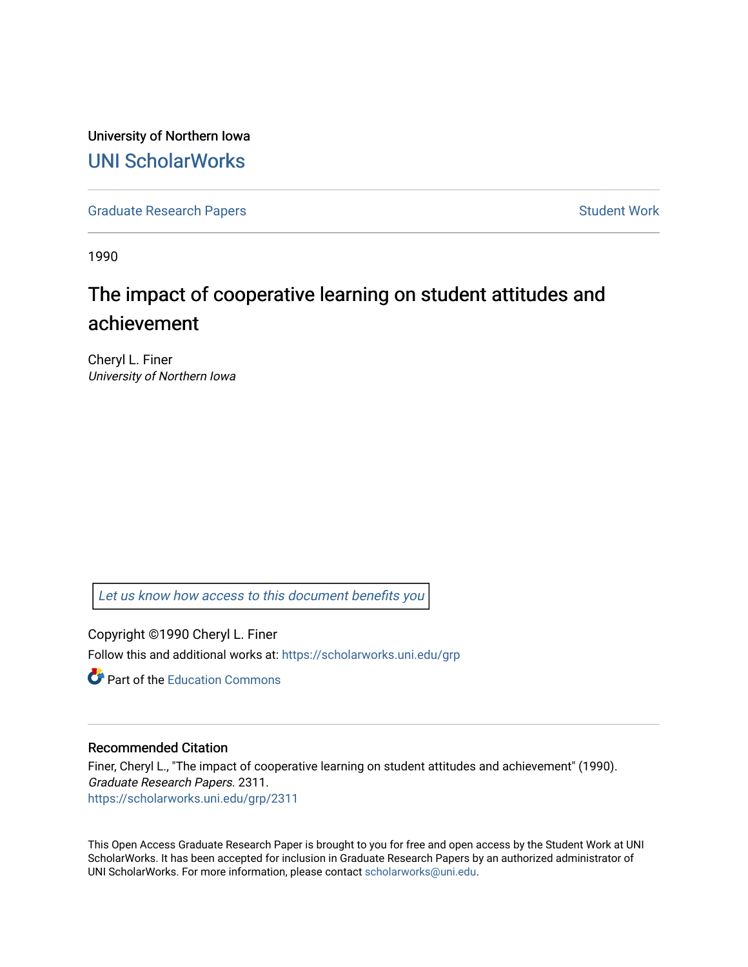University of Northern Iowa [UNI ScholarWorks](https://scholarworks.uni.edu/) 

[Graduate Research Papers](https://scholarworks.uni.edu/grp) **Student Work** Student Work

1990

# The impact of cooperative learning on student attitudes and achievement

Cheryl L. Finer University of Northern Iowa

[Let us know how access to this document benefits you](https://scholarworks.uni.edu/feedback_form.html) 

Copyright ©1990 Cheryl L. Finer Follow this and additional works at: [https://scholarworks.uni.edu/grp](https://scholarworks.uni.edu/grp?utm_source=scholarworks.uni.edu%2Fgrp%2F2311&utm_medium=PDF&utm_campaign=PDFCoverPages) 

**C** Part of the [Education Commons](http://network.bepress.com/hgg/discipline/784?utm_source=scholarworks.uni.edu%2Fgrp%2F2311&utm_medium=PDF&utm_campaign=PDFCoverPages)

#### Recommended Citation

Finer, Cheryl L., "The impact of cooperative learning on student attitudes and achievement" (1990). Graduate Research Papers. 2311. [https://scholarworks.uni.edu/grp/2311](https://scholarworks.uni.edu/grp/2311?utm_source=scholarworks.uni.edu%2Fgrp%2F2311&utm_medium=PDF&utm_campaign=PDFCoverPages) 

This Open Access Graduate Research Paper is brought to you for free and open access by the Student Work at UNI ScholarWorks. It has been accepted for inclusion in Graduate Research Papers by an authorized administrator of UNI ScholarWorks. For more information, please contact [scholarworks@uni.edu.](mailto:scholarworks@uni.edu)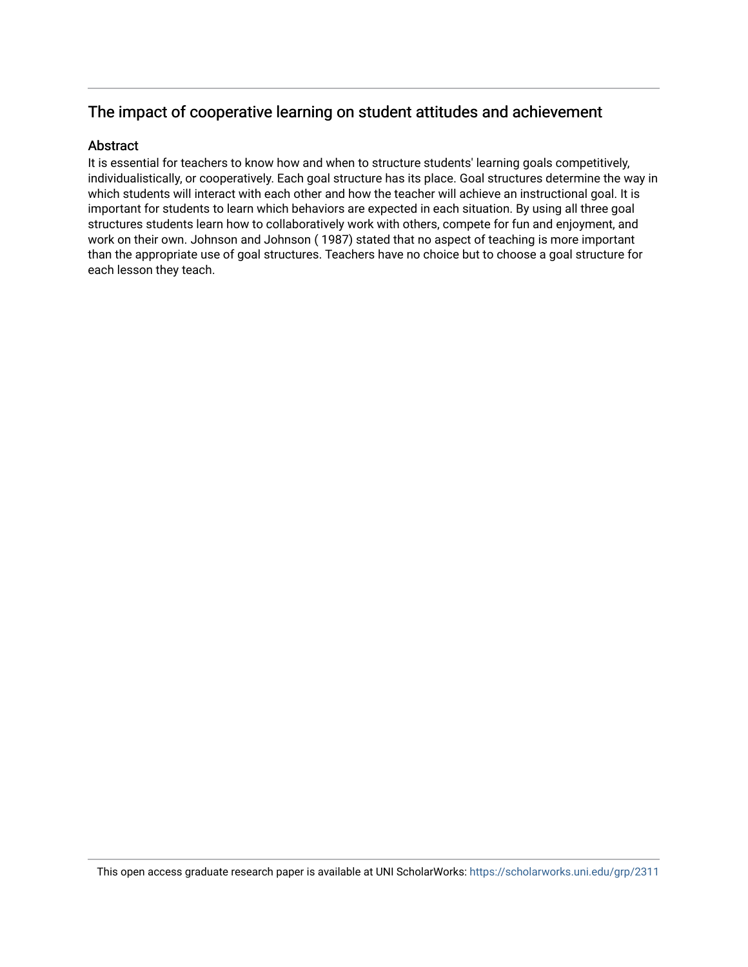### The impact of cooperative learning on student attitudes and achievement

### Abstract

It is essential for teachers to know how and when to structure students' learning goals competitively, individualistically, or cooperatively. Each goal structure has its place. Goal structures determine the way in which students will interact with each other and how the teacher will achieve an instructional goal. It is important for students to learn which behaviors are expected in each situation. By using all three goal structures students learn how to collaboratively work with others, compete for fun and enjoyment, and work on their own. Johnson and Johnson ( 1987) stated that no aspect of teaching is more important than the appropriate use of goal structures. Teachers have no choice but to choose a goal structure for each lesson they teach.

This open access graduate research paper is available at UNI ScholarWorks: <https://scholarworks.uni.edu/grp/2311>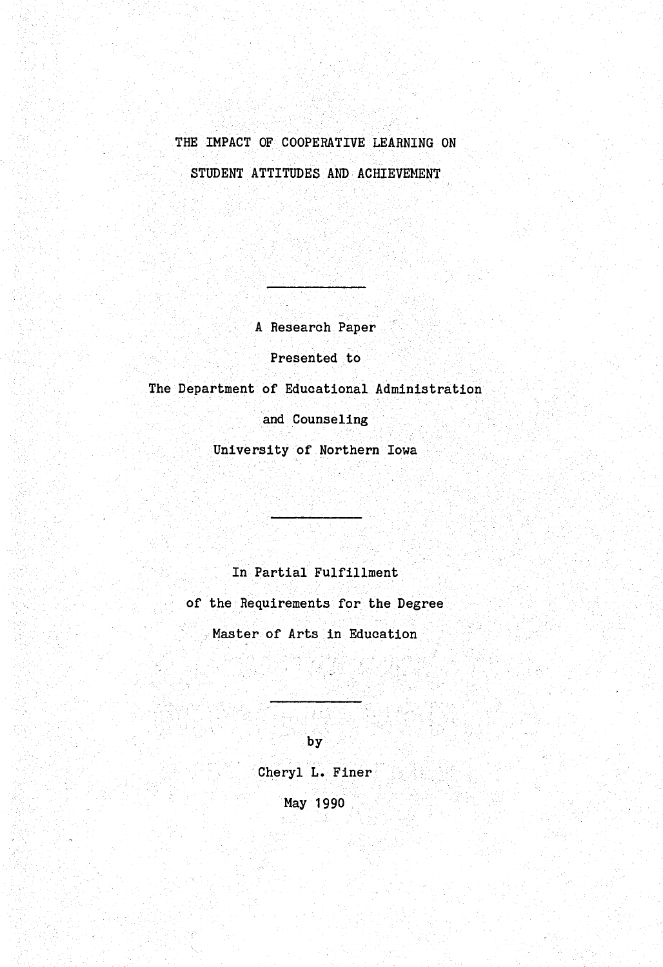## THE IMPACT OF COOPERATIVE LEARNING ON STUDENT ATTITUDES AND ACHIEVEMENT

A Research Paper

Presented to

The Department of Educational Administration

and Counseling

University of Northern Iowa

### In Partial Fulfillment

of the Requirements for the Degree

Master of Arts in Education

**by** 

Cheryl L. Finer May 1990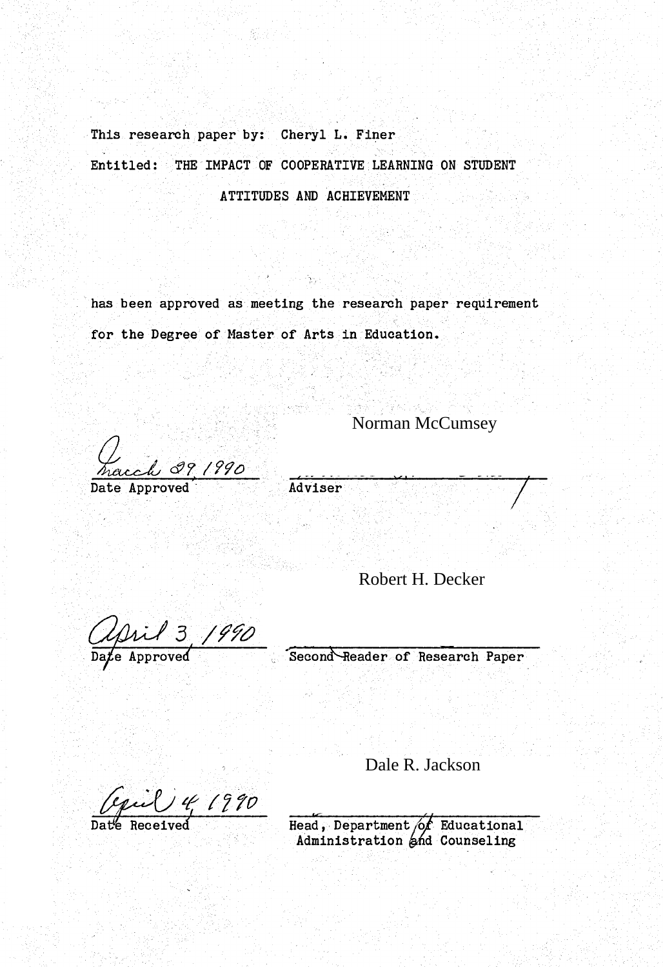This research paper by: Cheryl L. Finer Entitled: THE IMPACT OF COOPERATIVE LEARNING ON STUDENT ATTITUDES AND ACHIEVEMENT

has been approved as meeting the research paper requirement for the Degree of Master of Arts in Education.

Norman McCumsey

L<br><u>Maccl 39/990</u><br>Date Approved

Robert H. Decker

approved 5 1990<br>Date Approved Second Reader of Research Paper

Dale R.

Administration and

Dale R. Jackson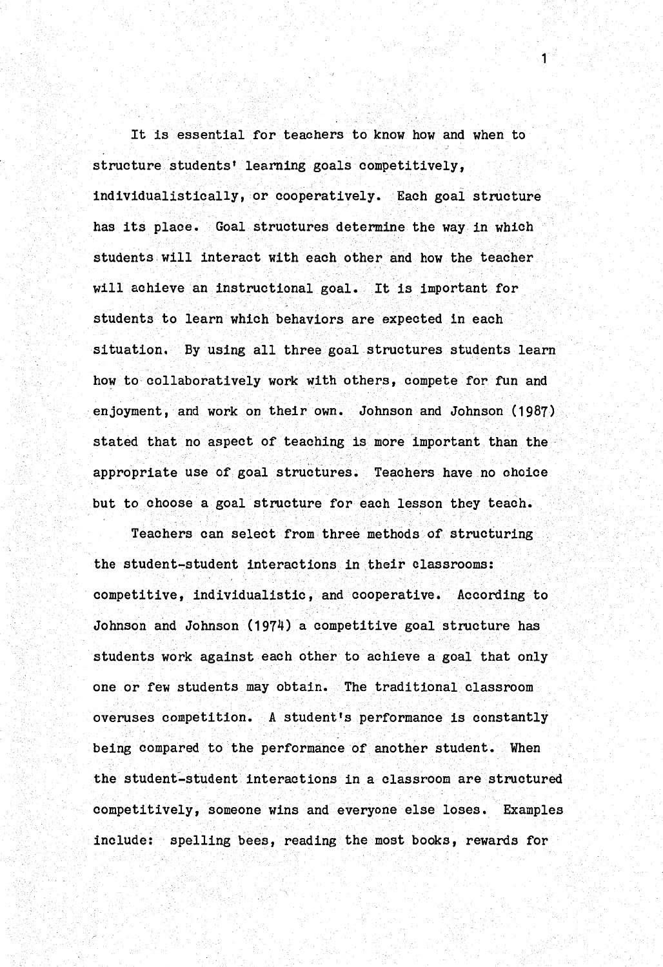It is essential for teachers to know how and when to structure students' learning goals competitively, individualistically, or cooperatively. Each goal structure has its place. Goal structures determine the way in which students will interact with each other and how the teacher will achieve an instructional goal. It is important for students to learn which behaviors are expected in each situation. By using all three goal structures students learn how to collaboratively work with others, compete for fun and enjoyment, and work on their own. Johnson and Johnson (1987) stated that no aspect of teaching is more important than the appropriate use of goal structures. Teachers have no choice but to choose a goal structure for each lesson they teach.

1

Teachers can select from three methods of structuring the student-student interactions in their classrooms: competitive, individualistic, and cooperative. According to Johnson and Johnson (1974) a competitive goal structure has students work against each other to achieve a goal that only one or few students may obtain. The traditional classroom overuses competition. A student's performance is constantly being compared to the performance of another student. When the student-student interactions in a classroom are structured competitively, someone wins and everyone else loses. Examples include: spelling bees, reading the most books, rewards for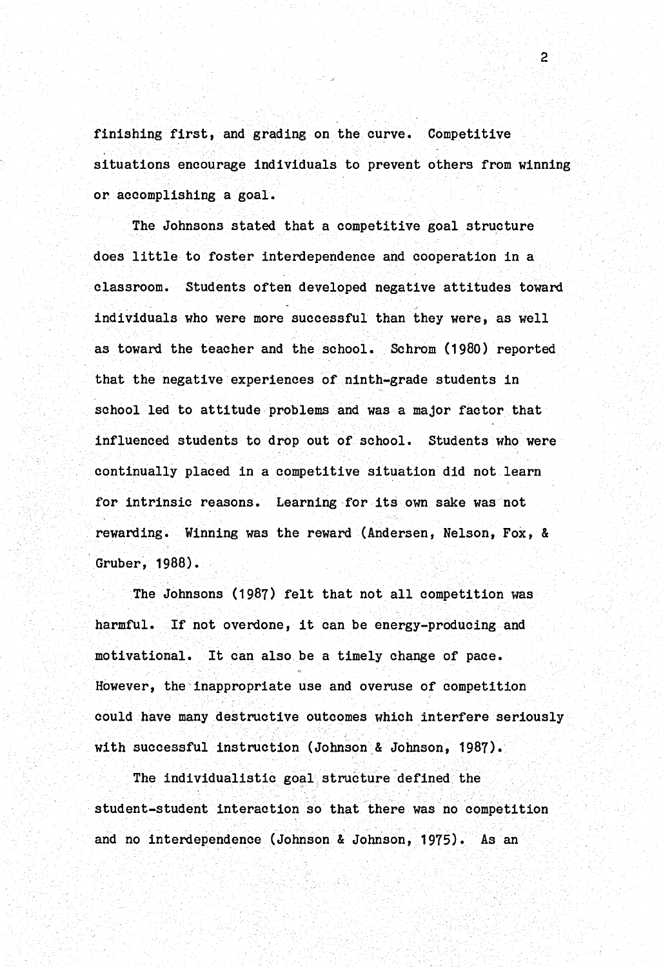finishing first, and grading on the curve. Competitive situations encourage individuals to prevent others from winning or accomplishing a goal.

2

The Johnsons stated that a competitive goal structure does little to foster interdependence and cooperation in a classroom. Students often developed negative attitudes toward individuals who were more successful than they were, as well as toward the teacher and the school. Schrom (1980) reported that the negative experiences of ninth-grade students in school led to attitude problems and was a major factor that influenced students to drop out of school. Students who were continually placed in a competitive situation did not learn for intrinsic reasons. Learning for its own sake was not rewarding. Winning was the reward (Andersen, Nelson, Fox, & · Gruber, 1988).

The Johnsons (1987) felt that not all competition was harmful. If not overdone, it can be energy-producing and motivational. It can also be a timely change of pace. However, the inappropriate use and overuse of competition could have many destructive outcomes which interfere seriously with successful instruction (Johnson & Johnson, 1987).

The individualistic goal structure defined the student-student interaction so that there was no competition and no interdependence (Johnson & Johnson, 1975). As an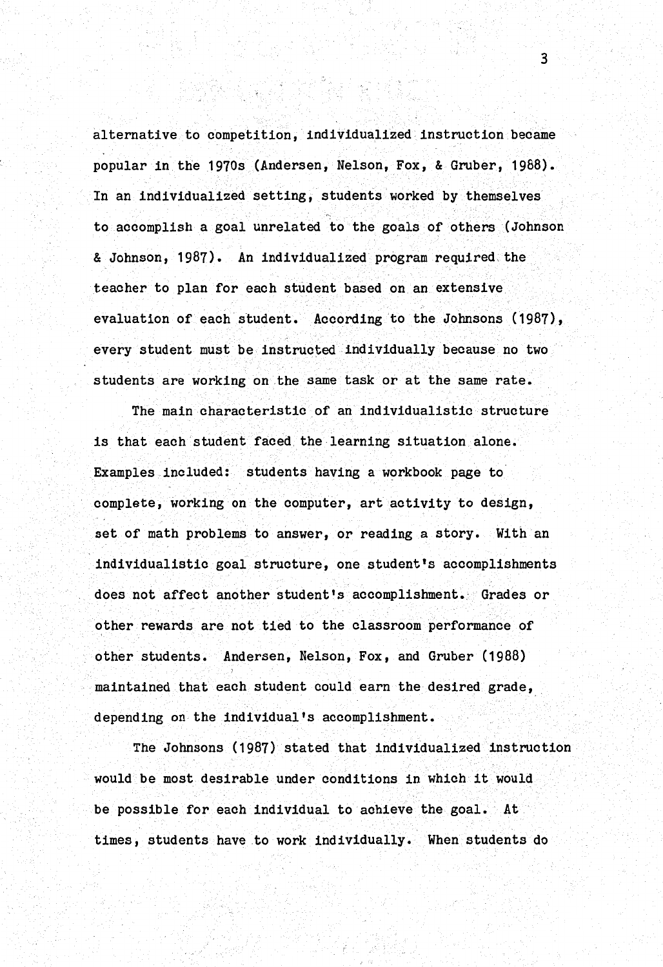alternative to competition, individualized instruction became popular in the 1970s (Andersen, Nelson, Fox, & Gruber, 1988). In an individualized setting, students worked by themselves to accomplish a goal unrelated to the goals of others (Johnson & Johnson, 1987). An individualized program required the teacher to plan for each student based on an extensive evaluation of each student. According to the Johnsons (1987), every student must be instructed individually because no two students are working on the same task or at the same rate.

The main characteristic of an individualistic structure is that each student faced the learning situation alone. Examples included: students having a workbook page to complete, working on the computer, art activity to design, set of math problems to answer, or reading a story. With an individualistic goal structure, one student's accomplishments does not affect another student's accomplishment. Grades or other rewards are not tied to the classroom performance of other students. Andersen, Nelson, Fox, and Gruber (1988) maintained that each student could earn the desired grade, depending on the individual's accomplishment.

The Johnsons (1987) stated that individualized instruction would be most desirable under conditions in which it would be possible for each individual to achieve the goal. At times, students have to work individually. When students do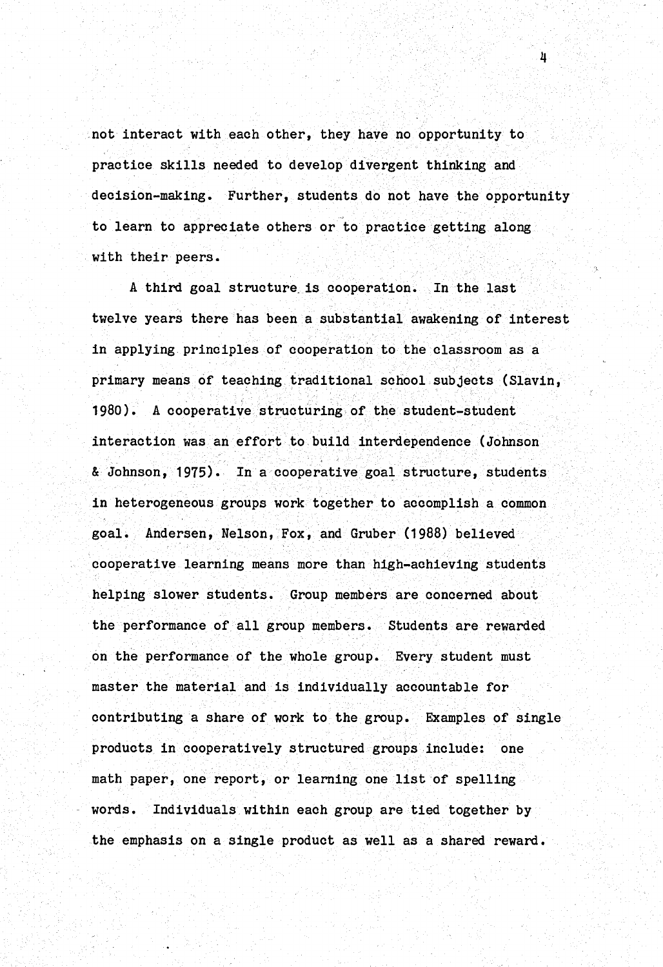not interact with each other, they have no opportunity to practice skills needed to develop divergent thinking and decision-making. Further, students do not have the opportunity to learn to appreciate others or to practice getting along with their peers.

4

A third goal structure. is cooperation. In the last twelve years there has been a substantial awakening of interest in applying principles of cooperation to the classroom as a primary means of teaching traditional school subjects (Slavin, 1980). A cooperative structuring of the student-student interaction was an effort to build interdependence (Johnson & Johnson, 1975). In a cooperative goal structure, students in heterogeneous groups work together to accomplish a common goal. Andersen, Nelson, Fox, and Gruber (1988) believed cooperative learning means more than high-achieving students helping slower students. Group members are concerned about the performance of all group members. Students are rewarded on the performance of the whole group. Every student must master the material and is individually accountable for contributing a share of work to the group. Examples of single products in cooperatively structured groups include: one math paper, one report, or learning one list of spelling words. Individuals within each group are tied together by the emphasis on a single product as well as a shared reward.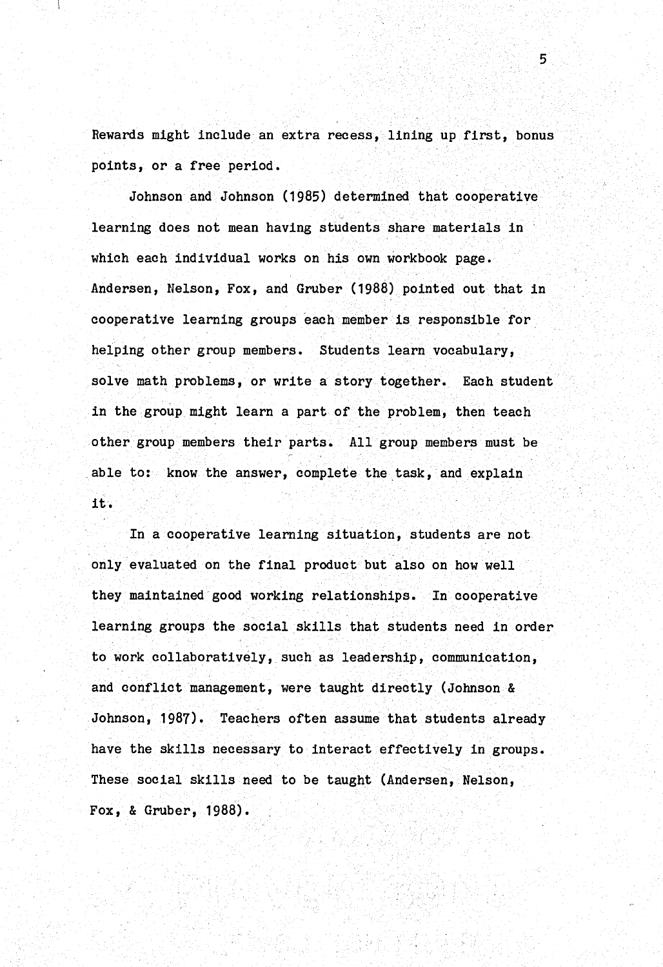Rewards might include an extra recess, lining up first, bonus points, or a free period.

5

Johnson and Johnson (1985) determined that cooperative learning does not mean having students share materials in which each individual works on his own workbook page. Andersen, Nelson, Fox, and Gruber (1988) pointed out that in cooperative learning groups each member is responsible for helping other group members. Students learn vocabulary, solve math problems, or write a story together. Each student in the group might learn a part of the problem, then teach other group members their parts. All group members must be able to: know the answer, complete the task, and explain it.

In a cooperative learning situation, students are not only evaluated on the final product but also on how well they maintained good working relationships. In cooperative learning groups the social skills that students need in order to work collaboratively, such as leadership, communication, and conflict management, were taught directly (Johnson & Johnson, 1987). Teachers often assume that students already have the skills necessary to interact effectively in groups. These social skills need to be taught (Andersen, Nelson, Fox, & Gruber, 1988).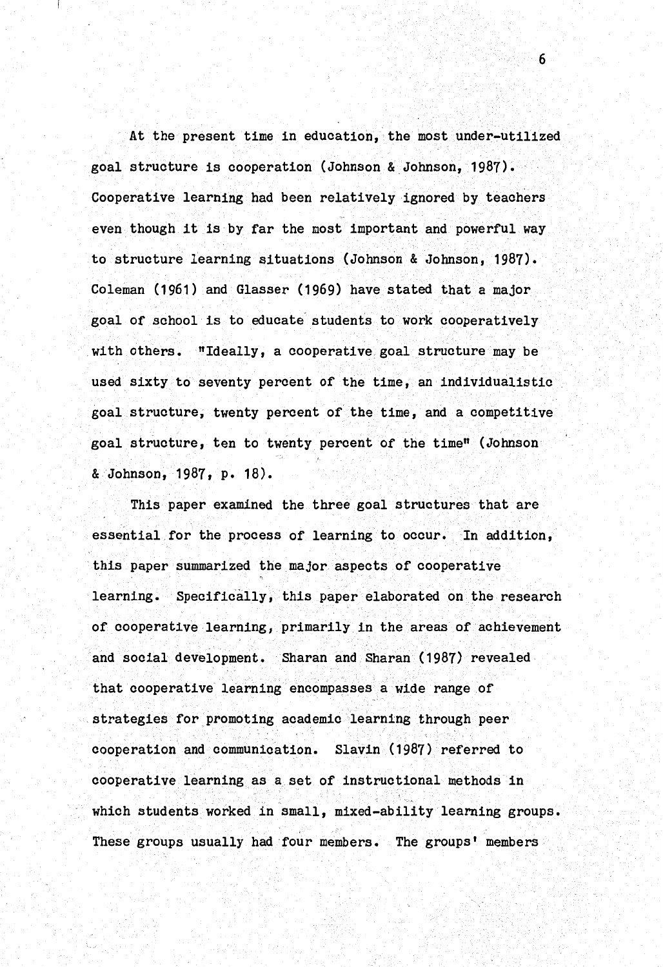At the present time in education, the most under-utilized goal structure is cooperation (Johnson & Johnson, 1987). Cooperative learning had been relatively ignored by teachers even though it is by far the most important and powerful way to structure learning situations (Johnson & Johnson, 1987). Coleman (1961) and Glasser (1969) have stated that a major goal of school is to educate students to work cooperatively with others. "Ideally, a cooperative goal structure may be used sixty to seventy percent of the time, an individualistic goal structure, twenty percent of the time, and a competitive goal structure, ten to twenty percent of the time" (Johnson & Johnson, 1987, p. 18).

This paper examined the three goal structures that are essential for the process of learning to occur. In addition, this paper summarized the major aspects of cooperative learning. Specifically, this paper elaborated on the research of cooperative learning, primarily in the areas of achievement and social development. Sharan and Sharan (1987) revealed that cooperative learning encompasses a wide range of strategies for promoting academic learning through peer cooperation and communication. Slavin (1987) referred to cooperative learning as a set of instructional methods in which students worked in small, mixed-ability learning groups. These groups usually had four members. The groups' members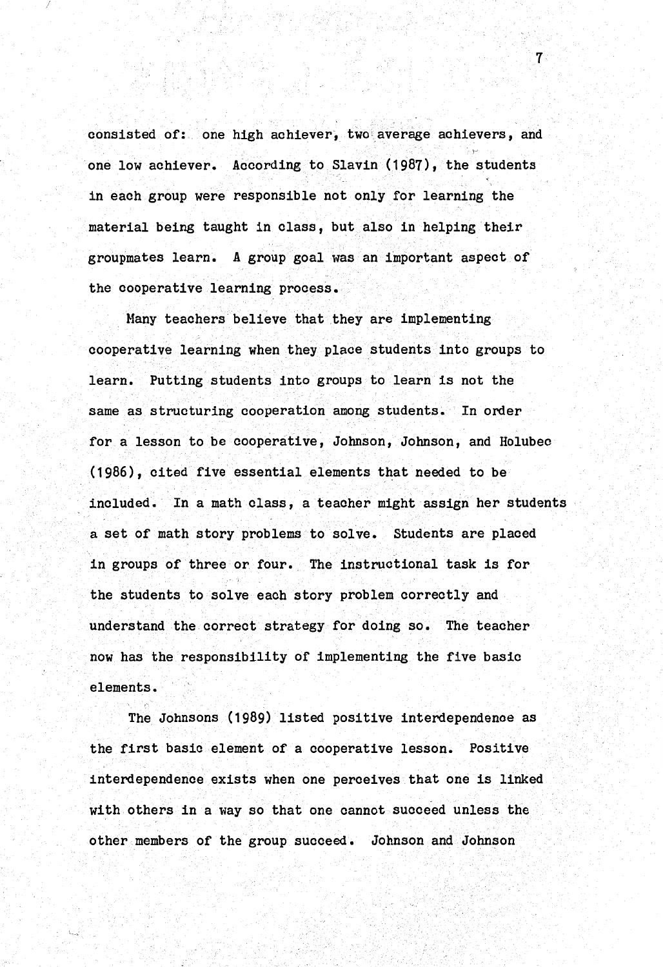consisted of: one high achiever, two average achievers, and one low achiever. According to Slavin (1987), the students in each group were responsible not only for learning the material being taught in class, but also in helping their groupmates learn. A group goal was an important aspect of the cooperative learning process.

7

Many teachers believe that they are implementing cooperative learning when they place students into groups to learn. Putting students into groups to learn is not the same as structuring cooperation among students. In order for a lesson to be cooperative, Johnson, Johnson, and Holubec (1986), cited five essential elements that needed to be included. In a math class, a teacher might assign her students a set or math story problems to solve. Students are placed in groups of three or four. The instructional task is for the students to solve each story problem correctly and understand the correct strategy for doing so. The teacher now has the responsibility or implementing the five basic elements.

The Johnsons (1989) listed positive interdependence as the first basic element of a cooperative lesson. Positive interdependence exists when one perceives that one is linked with others in a way so that one cannot succeed unless the other members or the group succeed. Johnson and Johnson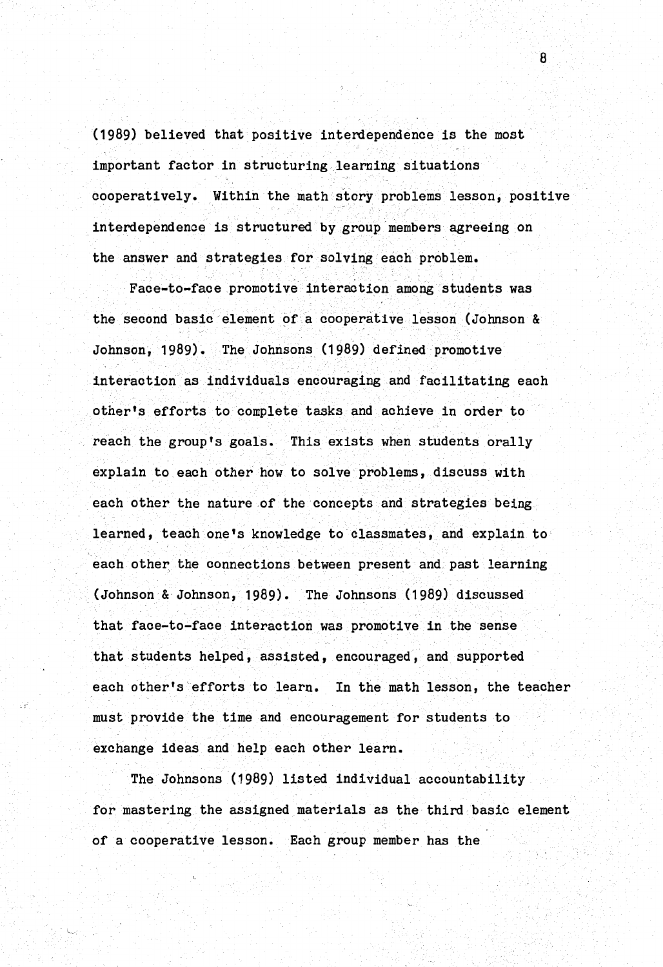(1989) believed that positive interdependence is the most important factor in structuring learning situations cooperatively. Within the math story problems lesson, positive interdependence is structured by group members agreeing on the answer and strategies for solving each problem.

Face-to-face promotive interaction among students was the second basic element of a cooperative lesson (Johnson & Johnson, 1989). The Johnsons (1989) defined promotive interaction as individuals encouraging and facilitating each other's efforts to complete tasks and achieve in order to reach the group's goals. This exists when students orally explain to each other how to solve problems, discuss with each other the nature of the concepts and strategies being learned, teach one's knowledge to classmates, and explain to each other the connections between present and past learning (Johnson & Johnson, 1989). The Johnsons (1989) discussed that face-to-face interaction was promotive in the sense that students helped, assisted, encouraged, and supported each other's'efforts to learn. In the math lesson, the teacher must provide the time and encouragement for students to exchange ideas and help each other learn.

The Johnsons (1989) listed individual accountability for mastering the assigned materials as the third basic element of a cooperative lesson. Each group member has the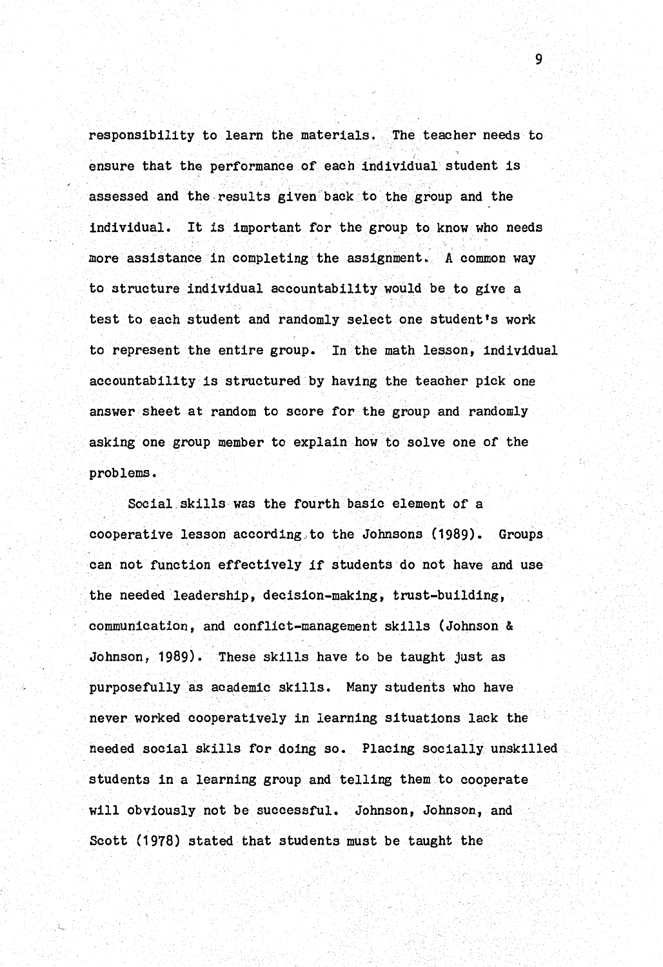responsibility to learn the materials. The teacher needs to ensure that the performance of each individual student is assessed and the results given back to the group and the individual. It is important for the group to know who needs more assistance in completing the assignment. A common way to structure individual accountability would be to give a test to each student and randomly select one student's work to represent the entire group. In the math lesson, individual accountability is structured by having the teacher pick one answer sheet at random to score for the group and randomly asking one group member to explain how to solve one of the problems.

Social skills was the fourth basic element of a cooperative lesson according to the Johnsons (1989). Groups can not function effectively if students do not have and use the needed leadership, decision-making, trust-building, communication, and conflict-management skills (Johnson & Johnson, 1989). These skills have to be taught just as purposefully as academic skills. Many students who have never worked cooperatively in learning situations lack the needed social skills for doing so. Placing socially unskilled students in a learning group and telling them to cooperate will obviously not be successful. Johnson, Johnson, and Scott (1978) stated that students must be taught the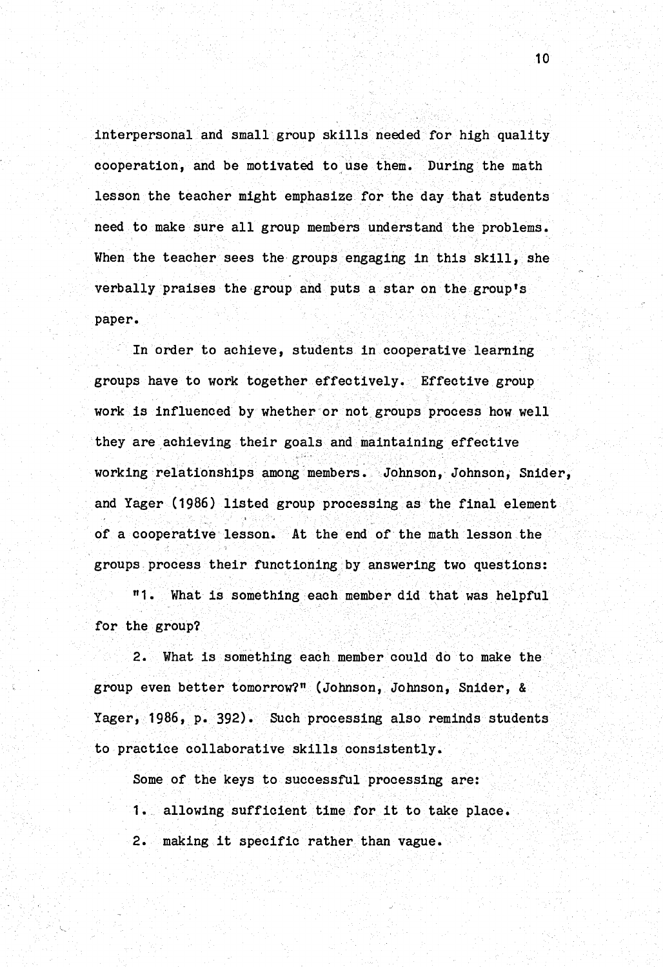interpersonal and small group skills needed for high quality cooperation, and be motivated to use them. During the math lesson the teacher might emphasize for the day that students need to make sure all group members understand the problems. When the teacher sees the groups engaging in this skill, she verbally praises the group and puts a star on the group's paper.

In order to achieve, students in cooperative learning groups have to work together effectively. Effective group work is influenced by whether or not groups process how well they are achieving their goals and maintaining effective working relationships among members. Johnson, Johnson, Snider, and Yager (1986) listed group processing as the final element of a cooperative lesson. At the end of the math lesson the groups process their functioning by answering two questions:

"1. What is something each member did that was helpful for the group?

2. What is something each member could do to make the group even better tomorrow?" (Johnson, Johnson, Snider, & Yager, 1986, p. 392). Such processing also reminds students to practice collaborative skills consistently.

Some of the keys to successful processing are:

1. allowing sufficient time for it to take place.

2. making it specific rather than vague.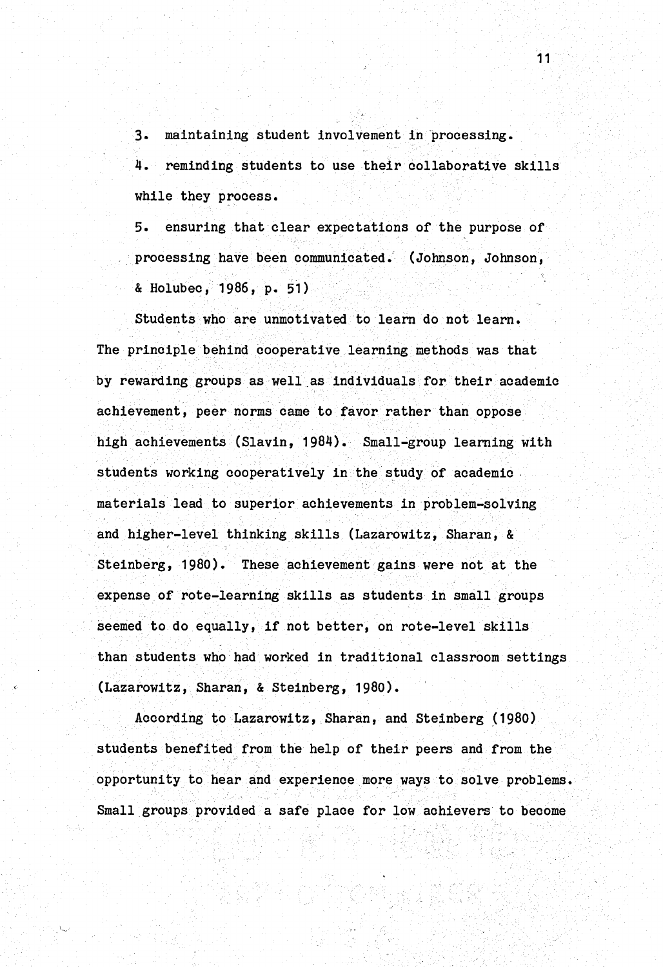3. maintaining student involvement in processing.

4. reminding students to use their collaborative skills while they process.

5. ensuring that clear expectations of the purpose of processing have been communicated. (Johnson, Johnson, & Holubec, 1986, p. 51)

Students who are unmotivated to learn do not learn. The principle behind cooperative learning methods was that by rewarding groups as well as individuals for their academic achievement, peer norms came to favor rather than oppose high achievements (Slavin, 1984). Small-group learning with students working cooperatively in the study of academic. materials lead to superior achievements in problem-solving and higher-level thinking skills (Lazarowitz, Sharan, & Steinberg, 1980). These achievement gains were not at the expense of rote-learning skills as students in small groups seemed to do equally, if not better, on rote-level skills than students who had worked in traditional classroom settings (Lazarowitz, Sharan, & Steinberg, 1980).

According to Lazarowitz, Sharan, and Steinberg (1980) students benefited from the help of their peers and from the opportunity to hear and experience more ways to solve problems. Small groups provided a safe place for low achievers to become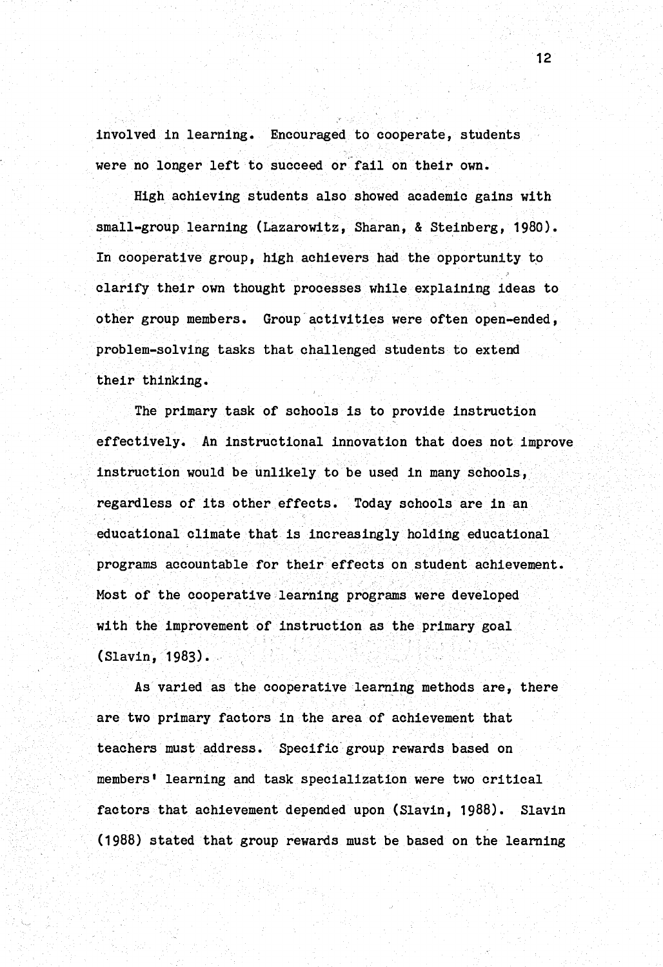involved in learning. Encouraged to cooperate, students were no longer left to succeed or fail on their own.

High achieving students also showed academic gains with small-group learning (Lazarowitz, Sharan, & Steinberg, 1980). In cooperative group, high achievers had the opportunity to clarify their own thought processes while explaining ideas to other group members. Group activities were often open-ended, problem-solving tasks that challenged students to extend their thinking.

The primary task of schools is to provide instruction effectively. An instructional innovation that does not improve instruction would be unlikely to be used in many schools, regardless of its other effects. Today schools are in an educational climate that is increasingly holding educational programs accountable for their effects on.student achievement. Most of the cooperative learning programs were developed with the improvement of instruction as the primary goal (Slavin, 1983).

As varied as the cooperative learning methods are, there are two primary factors in the area of achievement that teachers must address. Specific group rewards based on members' learning and task specialization were two critical factors that achievement depended upon (Slavin, 1988). Slavin (1988) stated that group rewards must be based on the learning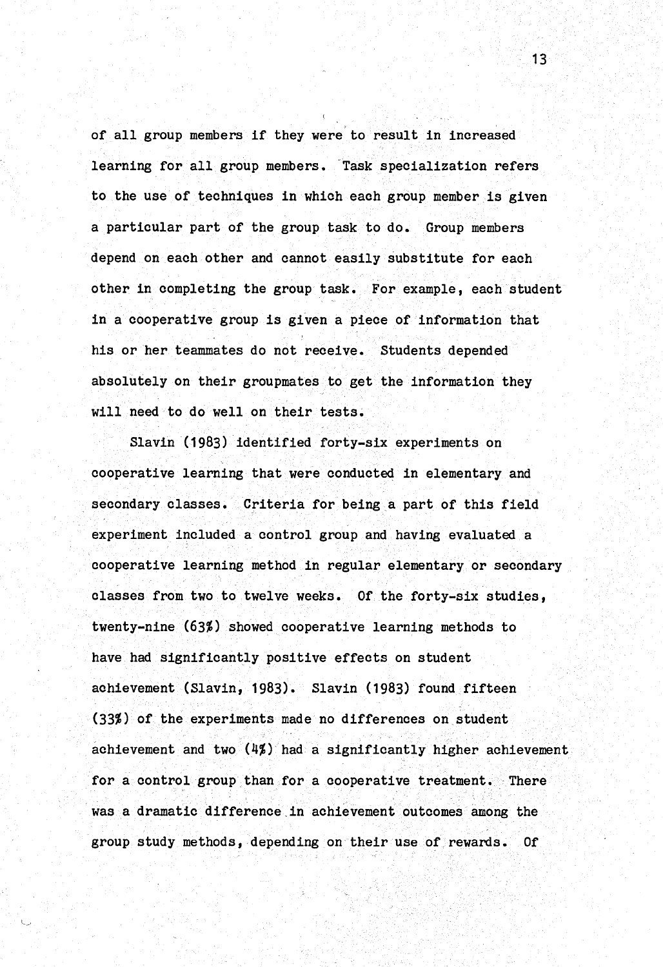' of all group members if they were to result in increased learning for all group members. Task specialization refers to the use of techniques in which each group member is given a particular part of the group task to do. Group members depend on each other and cannot easily substitute for each other in completing the group task. For example, each student in a cooperative group is gfven a piece of information that his or her teammates do not receive. Students depended absolutely on their groupmates to get the information they will need to do well on their tests.

Slavin (1983) identified forty-six experiments on cooperative learning that were conducted in elementary and secondary classes. Criteria for being a part of this field experiment included a control group and having evaluated a cooperative learning method in regular elementary or secondary classes from two to twelve weeks. Of the forty-six studies, twenty-nine (63%) showed cooperative learning methods to have had significantly positive effects on student achievement (Slavin, 1983). Slavin (1983) found fifteen (33%) of the experiments made no differences on.student achievement and two  $(4/%)$  had a significantly higher achievement. for a control group than for a cooperative treatment. There was a dramatic difference.in achievement outcomes among the group study methods, depending on their use of rewards. Of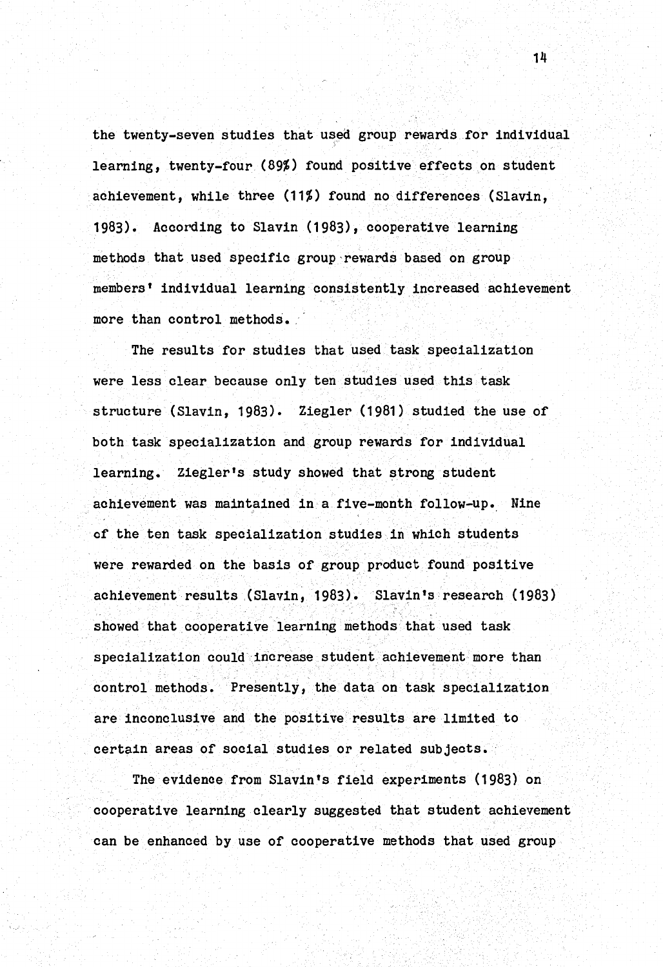the twenty-seven studies that used group rewards for individual learning, twenty-four (89%) found positive effects on student achievement, while three (11%) found no differences (Slavin, 1983). According to Slavin (1983), cooperative learning methods that used specific group rewards based on group members' individual learning consistently increased achievement more than control methods.

The results for studies that used task specialization were less clear because only ten studies used this task structure (Slavin, 1983). Ziegler (1981) studied the use of both task specialization and group rewards for individual learning. Ziegler's study showed that strong student achievement was maintained in a five-month follow-up. Nine of the ten task specialization studies in which students were rewarded on the basis of group product found positive achievement results (Slavin, 1983). Slavin's research (1983) showed that cooperative learning methods that used task specialization could increase student achievement more than control methods. Presently, the data on task specialization are inconclusive and the positive results are limited to certain areas of social studies or related subjects.

The evidence from Slavin's field experiments (1983) on cooperative learning clearly suggested that student achievement can be enhanced by use of cooperative methods that used group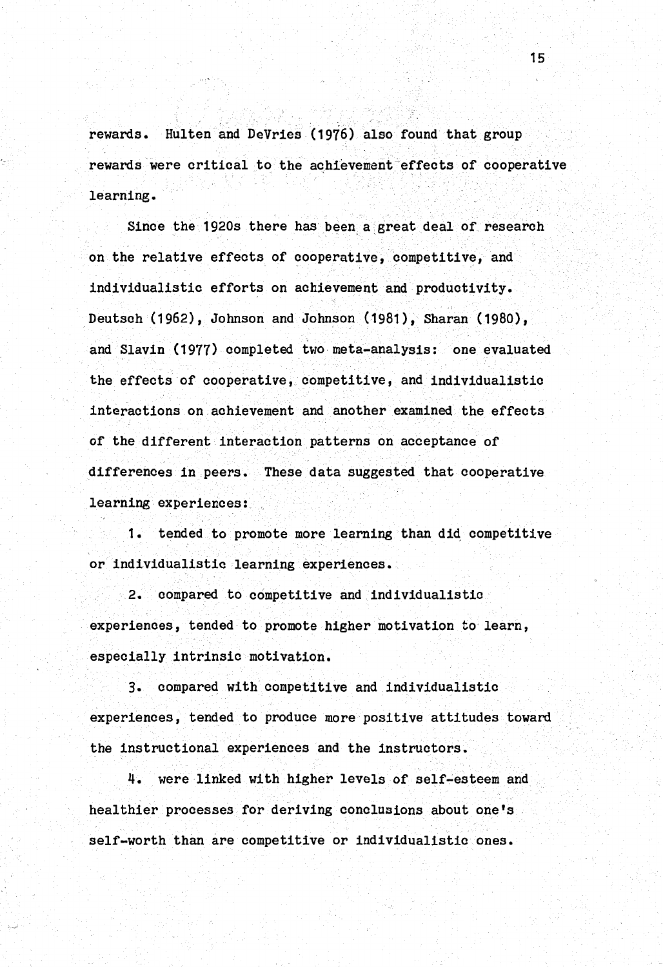rewards. Hulten and DeVries (1976) also found that group rewards were critical to the achievement effects or cooperative learning.

Since the 1920s there has been a great deal of research on the relative effects of cooperative, competitive, and individualistic efforts on achievement and productivity. Deutsch (1962), Johnson and Johnson (1981), Sharan (1980), and Slavin (1977) completed two meta-analysis: one evaluated the effects of cooperative, competitive, and individualistic interactions on achievement and another examined the effects of the different interaction patterns on acceptance of differences in peers. These data suggested that cooperative learning experiences:

1. tended to promote more learning than did competitive or individualistic learning experiences.

2. compared to competitive and individualistic experiences, tended to promote higher motivation to learn, especially intrinsic motivation.

3. compared with competitive and individualistic experiences, tended to produce more positive attitudes toward the instructional experiences and the instructors.

4. were linked with higher levels of self~esteem and healthier processes for deriving conclusions about one's self-worth than are competitive or individualistic ones.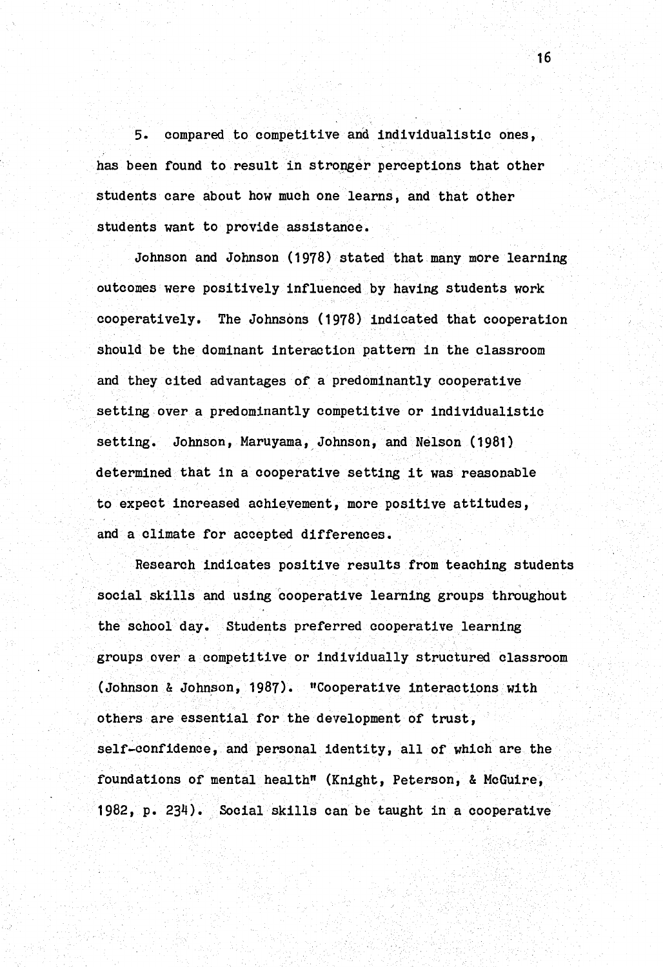5. compared to competitive and individualistic ones, has been found to result in stronger perceptions that other students care about how much one learns, and that other students want to provide assistance.

Johnson and Johnson (1978) stated that many more learning outcomes were positively influenced by having students work cooperatively. The Johnsons (1978) indicated that cooperation should be the dominant interaction pattern in the classroom and they cited advantages of a predominantly cooperative setting over a predominantly competitive or individualistic setting. Johnson, Maruyama, Johnson, and Nelson (1981) determined that in a cooperative setting it was reasonable to expect increased achievement, more positive attitudes, and a climate for accepted differences.

Research indicates positive results from teaching students social skills and using cooperative learning groups throughout the school day. Students preferred cooperative learning groups over a competitive or individually structured classroom (Johnson & Johnson, 1987). "Cooperative interactions with others are essential for the development of trust, self-confidence, and personal identity, all of which are the foundations of mental health" (Knight, Peterson, & McGuire, 1982, p. 234). Social skills can be taught in a cooperative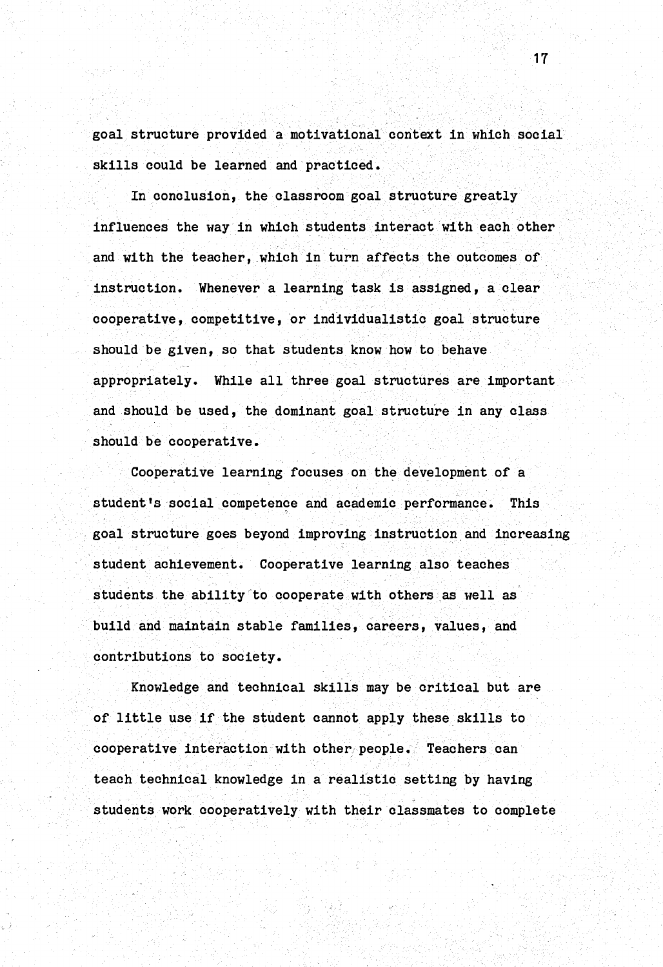goal structure provided a motivational context in which social skills could be learned and practiced.

In conclusion, the classroom goal structure greatly influences the way in which students interact with each other and with the teacher, which in turn affects the outcomes of instruction. Whenever a learning task is assigned, a clear cooperative, competitive, or individualistic goal structure should be given, so that students know how to behave appropriately. While all three goal structures are important and should be used, the dominant goal structure in any class should be cooperative.

Cooperative learning focuses on the development of a student's social competence and academic performance. This . goal structure goes beyond improving instruction.and increasing student achievement. Cooperative learning also teaches students the ability to cooperate with others as well as build and maintain stable families, careers, values, and contributions to society.

Knowledge and technical skills may be critical but are of little use if the student cannot apply these skills to cooperative interaction with other people. Teachers can teach technical knowledge in a realistic setting by having students work cooperatively with their classmates to complete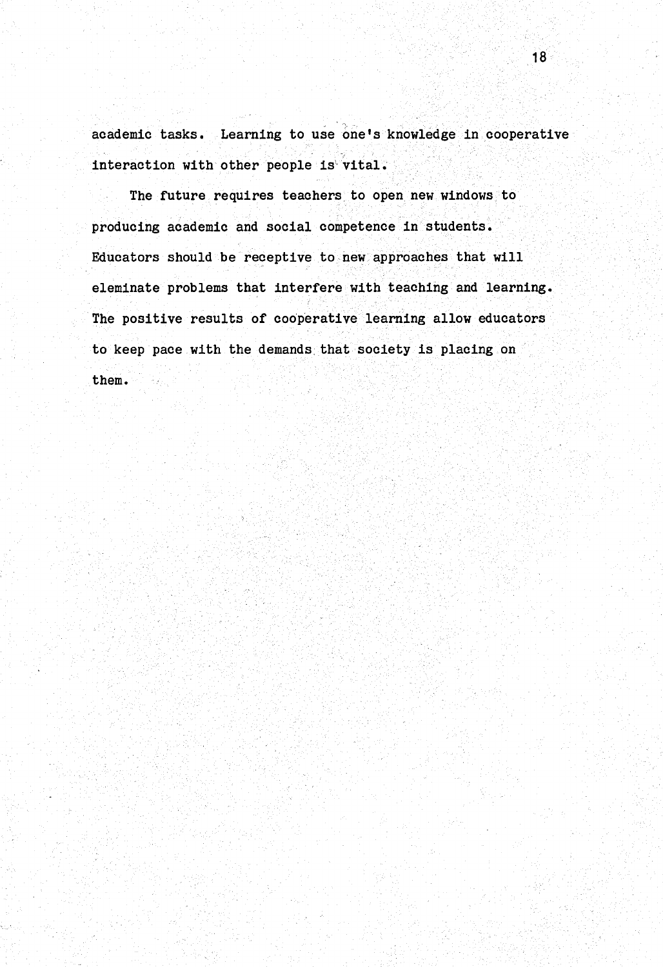academic tasks. Learning to use one's knowledge in cooperative interaction with other people is'vital.

The future requires teachers to open new windows to producing academic and social competence in students. Educators should be receptive to new.approaches that will eleminate problems that interfere with teaching and learning. The positive results of cooperative learning allow educators to keep pace with the demands. that society is placing on them.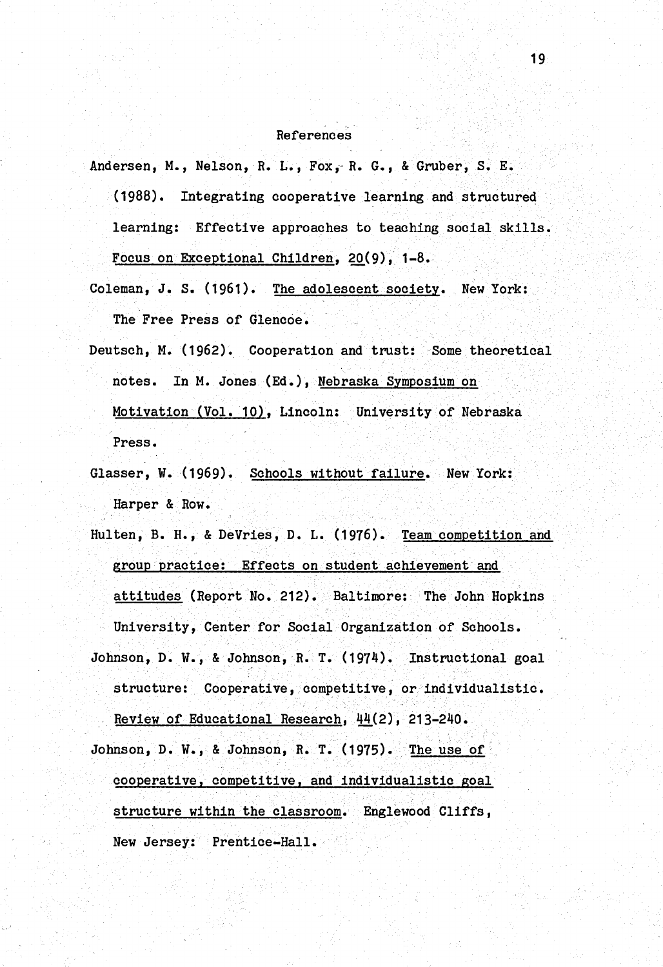#### References

Andersen, M., Nelson, R. L., Fox,~ R. G., & Gruber, S. E.

(1988). Integrating cooperative learning and structured learning: Effective approaches to teaching social skills. Focus on Exceptional Children, 20(9), 1-8.

- Coleman, *J.* s. (1961). The adolescent society. New York: The Free Press of Glencoe.
- Deutsch, M. ( 1962). Cooperation and trust: Some theoretical notes. In M. Jones (Ed.), Nebraska Symposium on Motivation (Vol. 10), Lincoln: University of Nebraska Press.
- Glasser, W. (1969). Schools without failure. New York: Harper & Row.
- Hulten, B. H., & DeVries, D. L. (1976). Team competition and group practice: Effects on student achievement and attitudes (Report No. 212). Baltimore: The John Hopkins University, Center for Social Organization of Schools. Johnson, D. W., & Johnson, R. T. (1974). Instructional goal structure: Cooperative, competitive, or individualistic. Review of Educational Research, 44(2), 213-240.

Johnson, D. W., & Johnson, R. T. (1975). The use of cooperative, competitive, and individualistic goal structure within the classroom. Englewood Cliffs, New Jersey: Prentice-Hall.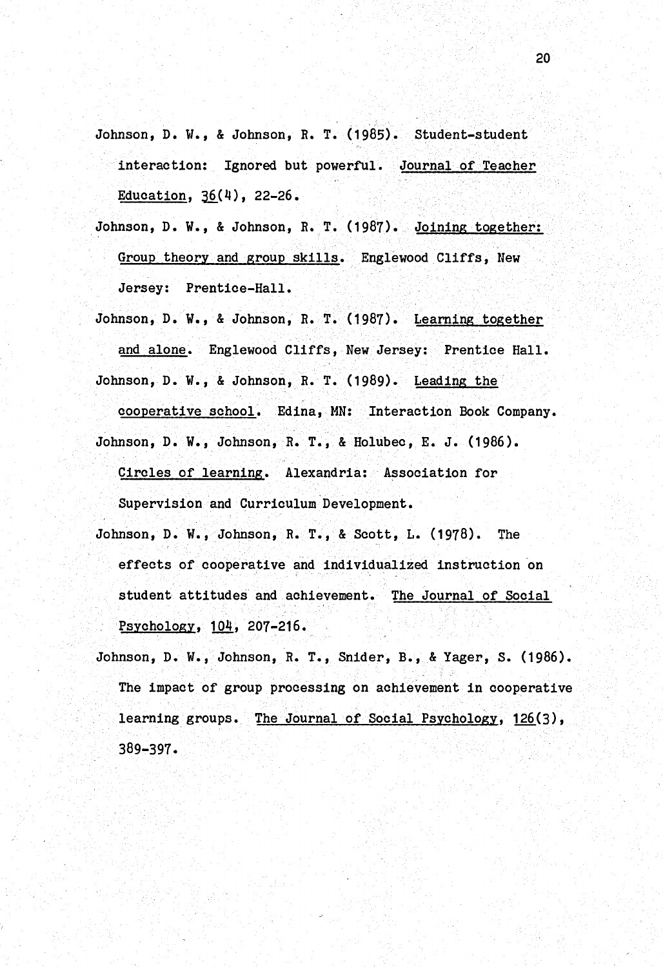- Johnson, D. w., & Johnson, R. T. (1985). Student-student interaction: Ignored but powerful. Journal of Teacher Education,  $36(4)$ , 22-26.
- Johnson, D. W., & Johnson, R. T. (1987). Joining together: Group theory and group skills. Englewood Cliffs, New Jersey: Prentice-Hall.
- Johnson, D. w., & Johnson, R. T. (1987). Learning together and alone. Englewood Cliffs, New Jersey: Prentice Hall. Johnson, D. W., & Johnson, R. T. (1989). Leading the

cooperative school. Edina, MN: Interaction Book Company. Johnson, D. w., Johnson, R. T., & Holubec, E. J. (1986). Circles of learning. Alexandria: Association for

Supervision and Curriculum Development.

- Johnson, D. W., Johnson, R. T., & Scott, L. (1978). The effects of cooperative and individualized instruction on student attitudes and achievement. The Journal of Social Psychology, 104, 207-216.
- Johnson, D. W., Johnson, R. T., Snider, B., & Yager, S. (1986). The impact of group processing on achievement in cooperative learning groups. The Journal of Social Psychology, 126(3), 389-397-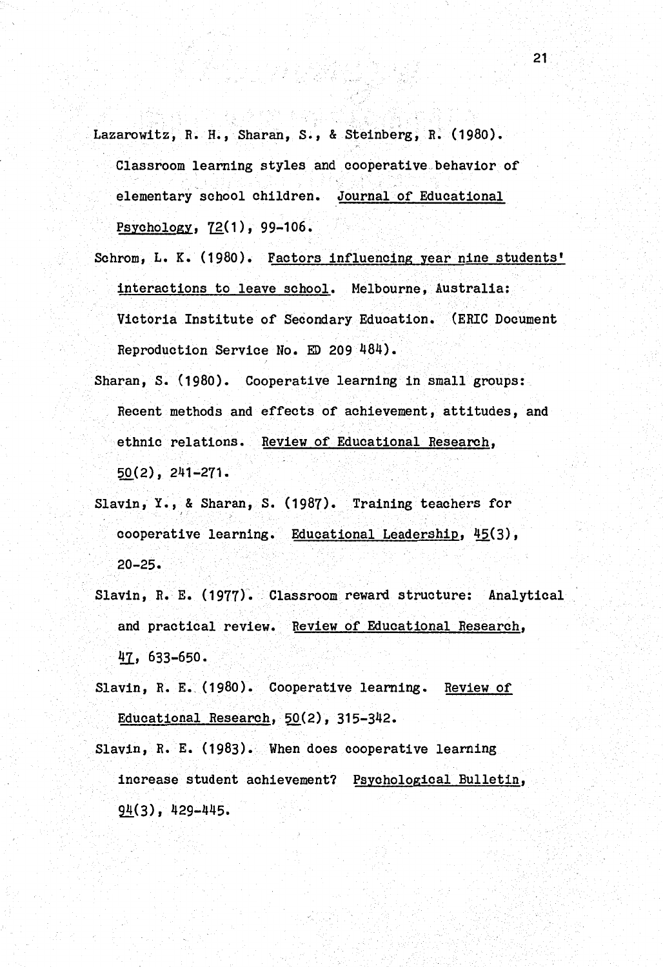Lazarowitz, R.H., Sharan, s., & Steinberg, R. (1980). Classroom learning styles and cooperative.behavior of elementary school children. Journal of Educational Psychology,  $72(1)$ , 99-106.

- Schrom, L. K. (1980). Factors influencing year nine students' interactions to leave school. Melbourne, Australia: Victoria Institute of Secondary Education. (ERIC Document Reproduction Service No. ED 209 484).
- Sharan, S. (1980). Cooperative learning in small groups: Recent methods and effects of achievement, attitudes, and ethnic relations. Review of Educational Research, 50(2), 241-271-
- Slavin, Y., & Sharan, S. (1987). Training teachers for cooperative learning. Educational Leadership, 45(3), 20-25.
- Slavin, R. E. (1977). Classroom reward structure: Analytical and practical review. Review of Educational Research,  $47, 633-650.$

Slavin, R. E. (1980). Cooperative learning. Review of Educational Research, 50(2), 315-342.

Slavin, R. E. (1983). When does cooperative learning increase student achievement? Psychological Bulletin,  $94(3)$ , 429-445.